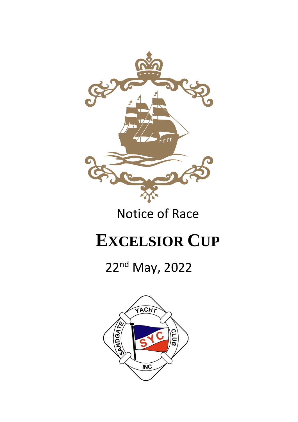

### Notice of Race

# **EXCELSIOR CUP**

## 22nd May, 2022

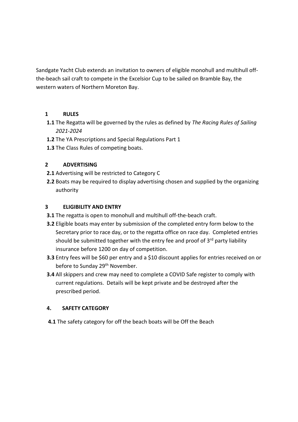Sandgate Yacht Club extends an invitation to owners of eligible monohull and multihull offthe-beach sail craft to compete in the Excelsior Cup to be sailed on Bramble Bay, the western waters of Northern Moreton Bay.

#### **1 RULES**

- **1.1** The Regatta will be governed by the rules as defined by *The Racing Rules of Sailing 2021-2024*
- **1.2** The YA Prescriptions and Special Regulations Part 1
- **1.3** The Class Rules of competing boats.

#### **2 ADVERTISING**

- **2.1** Advertising will be restricted to Category C
- **2.2** Boats may be required to display advertising chosen and supplied by the organizing authority

#### **3 ELIGIBILITY AND ENTRY**

- **3.1** The regatta is open to monohull and multihull off-the-beach craft.
- **3.2** Eligible boats may enter by submission of the completed entry form below to the Secretary prior to race day, or to the regatta office on race day. Completed entries should be submitted together with the entry fee and proof of  $3<sup>rd</sup>$  party liability insurance before 1200 on day of competition.
- **3.3** Entry fees will be \$60 per entry and a \$10 discount applies for entries received on or before to Sunday 29<sup>th</sup> November.
- **3.4** All skippers and crew may need to complete a COVID Safe register to comply with current regulations. Details will be kept private and be destroyed after the prescribed period.

#### **4. SAFETY CATEGORY**

**4.1** The safety category for off the beach boats will be Off the Beach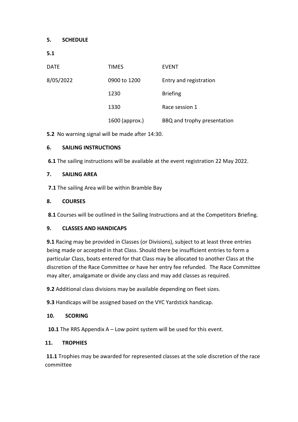#### **5. SCHEDULE**

| <b>DATE</b> | <b>TIMES</b>   | <b>EVENT</b>                |
|-------------|----------------|-----------------------------|
| 8/05/2022   | 0900 to 1200   | Entry and registration      |
|             | 1230           | <b>Briefing</b>             |
|             | 1330           | Race session 1              |
|             | 1600 (approx.) | BBQ and trophy presentation |

**5.2** No warning signal will be made after 14:30.

#### **6. SAILING INSTRUCTIONS**

**6.1** The sailing instructions will be available at the event registration 22 May 2022.

#### **7. SAILING AREA**

 **7.1** The sailing Area will be within Bramble Bay

#### **8. COURSES**

**8.1** Courses will be outlined in the Sailing Instructions and at the Competitors Briefing.

#### **9. CLASSES AND HANDICAPS**

**9.1** Racing may be provided in Classes (or Divisions), subject to at least three entries being made or accepted in that Class. Should there be insufficient entries to form a particular Class, boats entered for that Class may be allocated to another Class at the discretion of the Race Committee or have her entry fee refunded. The Race Committee may alter, amalgamate or divide any class and may add classes as required.

**9.2** Additional class divisions may be available depending on fleet sizes.

**9.3** Handicaps will be assigned based on the VYC Yardstick handicap.

#### **10. SCORING**

**10.1** The RRS Appendix A – Low point system will be used for this event.

#### **11. TROPHIES**

**11.1** Trophies may be awarded for represented classes at the sole discretion of the race committee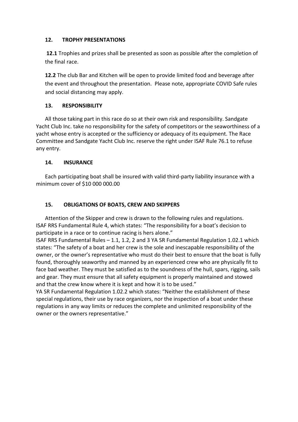#### **12. TROPHY PRESENTATIONS**

**12.1** Trophies and prizes shall be presented as soon as possible after the completion of the final race.

**12.2** The club Bar and Kitchen will be open to provide limited food and beverage after the event and throughout the presentation. Please note, appropriate COVID Safe rules and social distancing may apply.

#### **13. RESPONSIBILITY**

All those taking part in this race do so at their own risk and responsibility. Sandgate Yacht Club Inc. take no responsibility for the safety of competitors or the seaworthiness of a yacht whose entry is accepted or the sufficiency or adequacy of its equipment. The Race Committee and Sandgate Yacht Club Inc. reserve the right under ISAF Rule 76.1 to refuse any entry.

#### **14. INSURANCE**

Each participating boat shall be insured with valid third-party liability insurance with a minimum cover of \$10 000 000.00

#### **15. OBLIGATIONS OF BOATS, CREW AND SKIPPERS**

Attention of the Skipper and crew is drawn to the following rules and regulations. ISAF RRS Fundamental Rule 4, which states: "The responsibility for a boat's decision to participate in a race or to continue racing is hers alone."

ISAF RRS Fundamental Rules – 1.1, 1.2, 2 and 3 YA SR Fundamental Regulation 1.02.1 which states: "The safety of a boat and her crew is the sole and inescapable responsibility of the owner, or the owner's representative who must do their best to ensure that the boat is fully found, thoroughly seaworthy and manned by an experienced crew who are physically fit to face bad weather. They must be satisfied as to the soundness of the hull, spars, rigging, sails and gear. They must ensure that all safety equipment is properly maintained and stowed and that the crew know where it is kept and how it is to be used."

YA SR Fundamental Regulation 1.02.2 which states: "Neither the establishment of these special regulations, their use by race organizers, nor the inspection of a boat under these regulations in any way limits or reduces the complete and unlimited responsibility of the owner or the owners representative."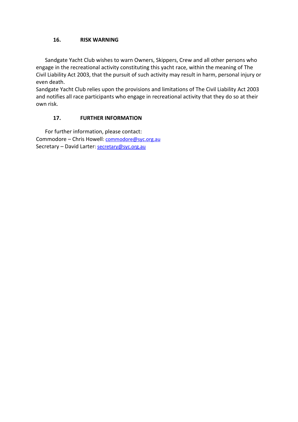#### **16. RISK WARNING**

Sandgate Yacht Club wishes to warn Owners, Skippers, Crew and all other persons who engage in the recreational activity constituting this yacht race, within the meaning of The Civil Liability Act 2003, that the pursuit of such activity may result in harm, personal injury or even death.

Sandgate Yacht Club relies upon the provisions and limitations of The Civil Liability Act 2003 and notifies all race participants who engage in recreational activity that they do so at their own risk.

#### **17. FURTHER INFORMATION**

For further information, please contact: Commodore – Chris Howell[: commodore@syc.org.au](mailto:commodore@syc.org.au) Secretary - David Larter[: secretary@syc.org.au](mailto:secretary@syc.org.au)